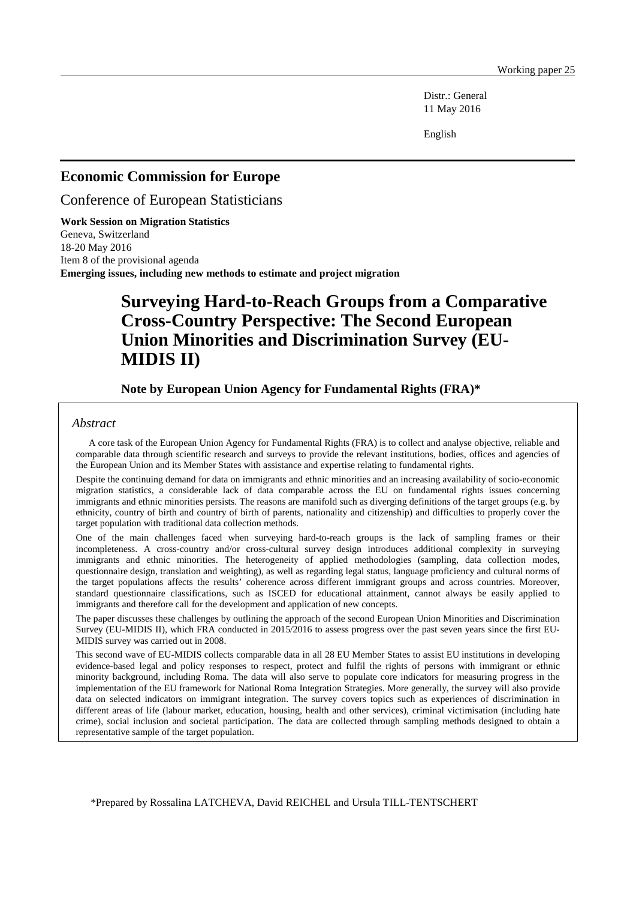Distr.: General 11 May 2016

English

## **Economic Commission for Europe**

Conference of European Statisticians

**Work Session on Migration Statistics** Geneva, Switzerland 18-20 May 2016 Item 8 of the provisional agenda **Emerging issues, including new methods to estimate and project migration**

# **Surveying Hard-to-Reach Groups from a Comparative Cross-Country Perspective: The Second European Union Minorities and Discrimination Survey (EU-MIDIS II)**

### **Note by European Union Agency for Fundamental Rights (FRA)\***

#### *Abstract*

A core task of the European Union Agency for Fundamental Rights (FRA) is to collect and analyse objective, reliable and comparable data through scientific research and surveys to provide the relevant institutions, bodies, offices and agencies of the European Union and its Member States with assistance and expertise relating to fundamental rights.

Despite the continuing demand for data on immigrants and ethnic minorities and an increasing availability of socio-economic migration statistics, a considerable lack of data comparable across the EU on fundamental rights issues concerning immigrants and ethnic minorities persists. The reasons are manifold such as diverging definitions of the target groups (e.g. by ethnicity, country of birth and country of birth of parents, nationality and citizenship) and difficulties to properly cover the target population with traditional data collection methods.

One of the main challenges faced when surveying hard-to-reach groups is the lack of sampling frames or their incompleteness. A cross-country and/or cross-cultural survey design introduces additional complexity in surveying immigrants and ethnic minorities. The heterogeneity of applied methodologies (sampling, data collection modes, questionnaire design, translation and weighting), as well as regarding legal status, language proficiency and cultural norms of the target populations affects the results' coherence across different immigrant groups and across countries. Moreover, standard questionnaire classifications, such as ISCED for educational attainment, cannot always be easily applied to immigrants and therefore call for the development and application of new concepts.

The paper discusses these challenges by outlining the approach of the second European Union Minorities and Discrimination Survey (EU-MIDIS II), which FRA conducted in 2015/2016 to assess progress over the past seven years since the first EU-MIDIS survey was carried out in 2008.

This second wave of EU-MIDIS collects comparable data in all 28 EU Member States to assist EU institutions in developing evidence-based legal and policy responses to respect, protect and fulfil the rights of persons with immigrant or ethnic minority background, including Roma. The data will also serve to populate core indicators for measuring progress in the implementation of the EU framework for National Roma Integration Strategies. More generally, the survey will also provide data on selected indicators on immigrant integration. The survey covers topics such as experiences of discrimination in different areas of life (labour market, education, housing, health and other services), criminal victimisation (including hate crime), social inclusion and societal participation. The data are collected through sampling methods designed to obtain a representative sample of the target population.

\*Prepared by Rossalina LATCHEVA, David REICHEL and Ursula TILL-TENTSCHERT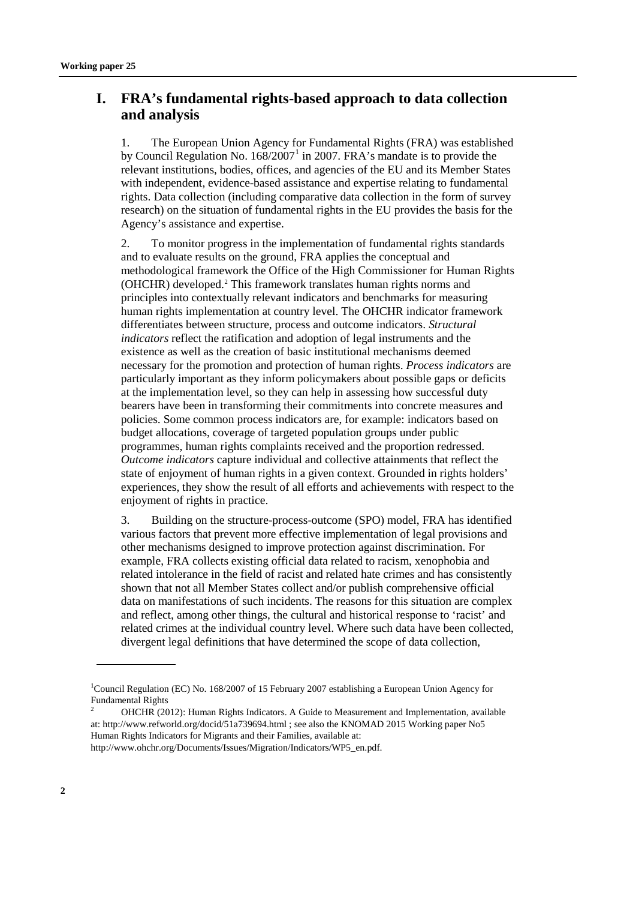# **I. FRA's fundamental rights-based approach to data collection and analysis**

1. The European Union Agency for Fundamental Rights (FRA) was established by Council Regulation No.  $168/2007<sup>1</sup>$  $168/2007<sup>1</sup>$  in 2007. FRA's mandate is to provide the relevant institutions, bodies, offices, and agencies of the EU and its Member States with independent, evidence-based assistance and expertise relating to fundamental rights. Data collection (including comparative data collection in the form of survey research) on the situation of fundamental rights in the EU provides the basis for the Agency's assistance and expertise.

2. To monitor progress in the implementation of fundamental rights standards and to evaluate results on the ground, FRA applies the conceptual and methodological framework the Office of the High Commissioner for Human Rights (OHCHR) developed.[2](#page-1-1) This framework translates human rights norms and principles into contextually relevant indicators and benchmarks for measuring human rights implementation at country level. The OHCHR indicator framework differentiates between structure, process and outcome indicators. *Structural indicators* reflect the ratification and adoption of legal instruments and the existence as well as the creation of basic institutional mechanisms deemed necessary for the promotion and protection of human rights. *Process indicators* are particularly important as they inform policymakers about possible gaps or deficits at the implementation level, so they can help in assessing how successful duty bearers have been in transforming their commitments into concrete measures and policies. Some common process indicators are, for example: indicators based on budget allocations, coverage of targeted population groups under public programmes, human rights complaints received and the proportion redressed. *Outcome indicators* capture individual and collective attainments that reflect the state of enjoyment of human rights in a given context. Grounded in rights holders' experiences, they show the result of all efforts and achievements with respect to the enjoyment of rights in practice.

3. Building on the structure-process-outcome (SPO) model, FRA has identified various factors that prevent more effective implementation of legal provisions and other mechanisms designed to improve protection against discrimination. For example, FRA collects existing official data related to racism, xenophobia and related intolerance in the field of racist and related hate crimes and has consistently shown that not all Member States collect and/or publish comprehensive official data on manifestations of such incidents. The reasons for this situation are complex and reflect, among other things, the cultural and historical response to 'racist' and related crimes at the individual country level. Where such data have been collected, divergent legal definitions that have determined the scope of data collection,

<span id="page-1-0"></span><sup>&</sup>lt;sup>1</sup>Council Regulation (EC) No. 168/2007 of 15 February 2007 establishing a European Union Agency for Fundamental Rights

<span id="page-1-1"></span><sup>2</sup> OHCHR (2012): Human Rights Indicators. A Guide to Measurement and Implementation, available at:<http://www.refworld.org/docid/51a739694.html> ; see also the KNOMAD 2015 Working paper No5 Human Rights Indicators for Migrants and their Families, available at:

[http://www.ohchr.org/Documents/Issues/Migration/Indicators/WP5\\_en.pdf.](http://www.ohchr.org/Documents/Issues/Migration/Indicators/WP5_en.pdf)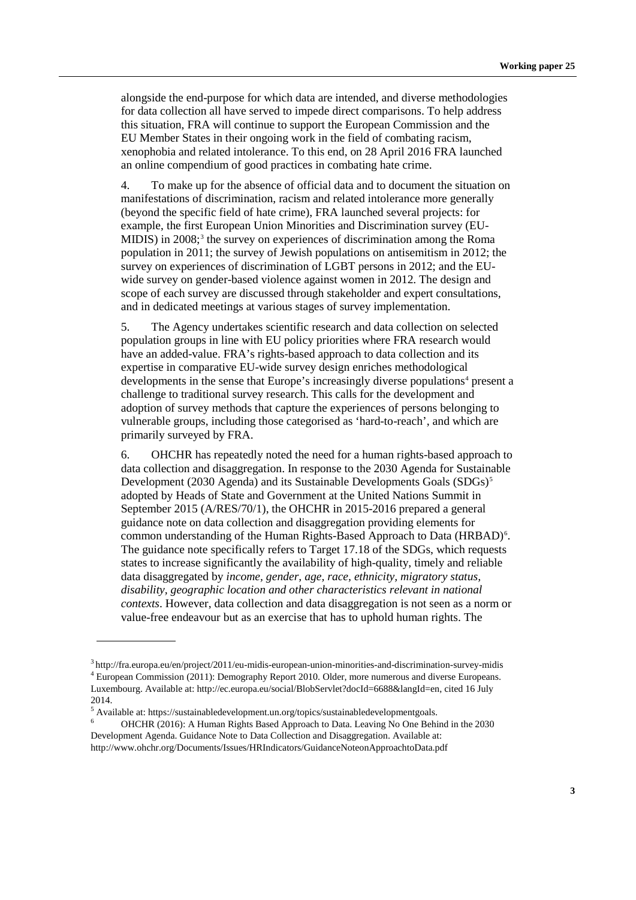alongside the end-purpose for which data are intended, and diverse methodologies for data collection all have served to impede direct comparisons. To help address this situation, FRA will continue to support the European Commission and the EU Member States in their ongoing work in the field of combating racism, xenophobia and related intolerance. To this end, on 28 April 2016 FRA launched an online compendium of good practices in combating hate crime.

4. To make up for the absence of official data and to document the situation on manifestations of discrimination, racism and related intolerance more generally (beyond the specific field of hate crime), FRA launched several projects: for example, the first European Union Minorities and Discrimination survey (EU-MIDIS) in 2008; [3](#page-2-0) the survey on experiences of discrimination among the Roma population in 2011; the survey of Jewish populations on antisemitism in 2012; the survey on experiences of discrimination of LGBT persons in 2012; and the EUwide survey on gender-based violence against women in 2012. The design and scope of each survey are discussed through stakeholder and expert consultations, and in dedicated meetings at various stages of survey implementation.

5. The Agency undertakes scientific research and data collection on selected population groups in line with EU policy priorities where FRA research would have an added-value. FRA's rights-based approach to data collection and its expertise in comparative EU-wide survey design enriches methodological developments in the sense that Europe's increasingly diverse populations<sup>[4](#page-2-1)</sup> present a challenge to traditional survey research. This calls for the development and adoption of survey methods that capture the experiences of persons belonging to vulnerable groups, including those categorised as 'hard-to-reach', and which are primarily surveyed by FRA.

6. OHCHR has repeatedly noted the need for a human rights-based approach to data collection and disaggregation. In response to the 2030 Agenda for Sustainable Development (2030 Agenda) and its Sustainable Developments Goals (SDGs)<sup>[5](#page-2-2)</sup> adopted by Heads of State and Government at the United Nations Summit in September 2015 (A/RES/70/1), the OHCHR in 2015-2016 prepared a general guidance note on data collection and disaggregation providing elements for common understanding of the Human Rights-Based Approach to Data (HRBAD)<sup>[6](#page-2-3)</sup>. The guidance note specifically refers to Target 17.18 of the SDGs, which requests states to increase significantly the availability of high-quality, timely and reliable data disaggregated by *income, gender, age, race, ethnicity, migratory status, disability, geographic location and other characteristics relevant in national contexts*. However, data collection and data disaggregation is not seen as a norm or value-free endeavour but as an exercise that has to uphold human rights. The

<span id="page-2-1"></span><span id="page-2-0"></span><sup>3</sup> [http://fra.europa.eu/en/project/2011/eu-midis-european-union-minorities-and-discrimination-survey-](http://fra.europa.eu/en/project/2011/eu-midis-european-union-minorities-and-discrimination-survey)midis <sup>4</sup> European Commission (2011): Demography Report 2010. Older, more numerous and diverse Europeans. Luxembourg. Available at: http://ec.europa.eu/social/BlobServlet?docId=6688&langId=en, cited 16 July 2014.

<span id="page-2-2"></span><sup>&</sup>lt;sup>5</sup> Available at: [https://sustainabledevelopment.un.org/topics/sustainabledevelopmentgoals.](https://sustainabledevelopment.un.org/topics/sustainabledevelopmentgoals)

<span id="page-2-3"></span><sup>6</sup> OHCHR (2016): A Human Rights Based Approach to Data. Leaving No One Behind in the 2030 Development Agenda. Guidance Note to Data Collection and Disaggregation. Available at: <http://www.ohchr.org/Documents/Issues/HRIndicators/GuidanceNoteonApproachtoData.pdf>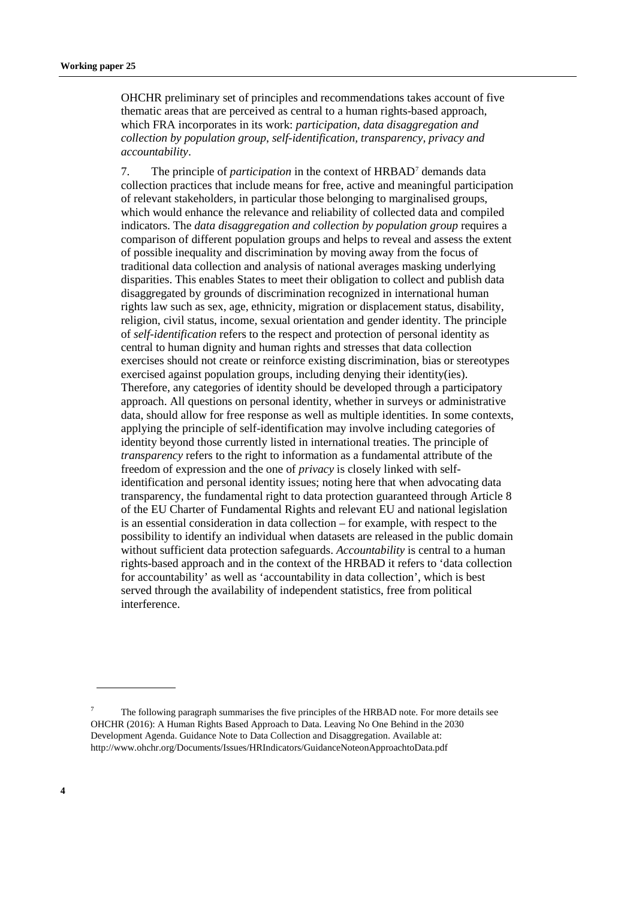OHCHR preliminary set of principles and recommendations takes account of five thematic areas that are perceived as central to a human rights-based approach, which FRA incorporates in its work: *participation*, *data disaggregation and collection by population group*, *self-identification, transparency, privacy and accountability*.

7. The principle of *participation* in the context of HRBAD[7](#page-3-0) demands data collection practices that include means for free, active and meaningful participation of relevant stakeholders, in particular those belonging to marginalised groups, which would enhance the relevance and reliability of collected data and compiled indicators. The *data disaggregation and collection by population group* requires a comparison of different population groups and helps to reveal and assess the extent of possible inequality and discrimination by moving away from the focus of traditional data collection and analysis of national averages masking underlying disparities. This enables States to meet their obligation to collect and publish data disaggregated by grounds of discrimination recognized in international human rights law such as sex, age, ethnicity, migration or displacement status, disability, religion, civil status, income, sexual orientation and gender identity. The principle of *self-identification* refers to the respect and protection of personal identity as central to human dignity and human rights and stresses that data collection exercises should not create or reinforce existing discrimination, bias or stereotypes exercised against population groups, including denying their identity(ies). Therefore, any categories of identity should be developed through a participatory approach. All questions on personal identity, whether in surveys or administrative data, should allow for free response as well as multiple identities. In some contexts, applying the principle of self-identification may involve including categories of identity beyond those currently listed in international treaties. The principle of *transparency* refers to the right to information as a fundamental attribute of the freedom of expression and the one of *privacy* is closely linked with selfidentification and personal identity issues; noting here that when advocating data transparency, the fundamental right to data protection guaranteed through Article 8 of the EU Charter of Fundamental Rights and relevant EU and national legislation is an essential consideration in data collection – for example, with respect to the possibility to identify an individual when datasets are released in the public domain without sufficient data protection safeguards. *Accountability* is central to a human rights-based approach and in the context of the HRBAD it refers to 'data collection for accountability' as well as 'accountability in data collection', which is best served through the availability of independent statistics, free from political interference.

<span id="page-3-0"></span><sup>7</sup> The following paragraph summarises the five principles of the HRBAD note. For more details see OHCHR (2016): A Human Rights Based Approach to Data. Leaving No One Behind in the 2030 Development Agenda. Guidance Note to Data Collection and Disaggregation. Available at: <http://www.ohchr.org/Documents/Issues/HRIndicators/GuidanceNoteonApproachtoData.pdf>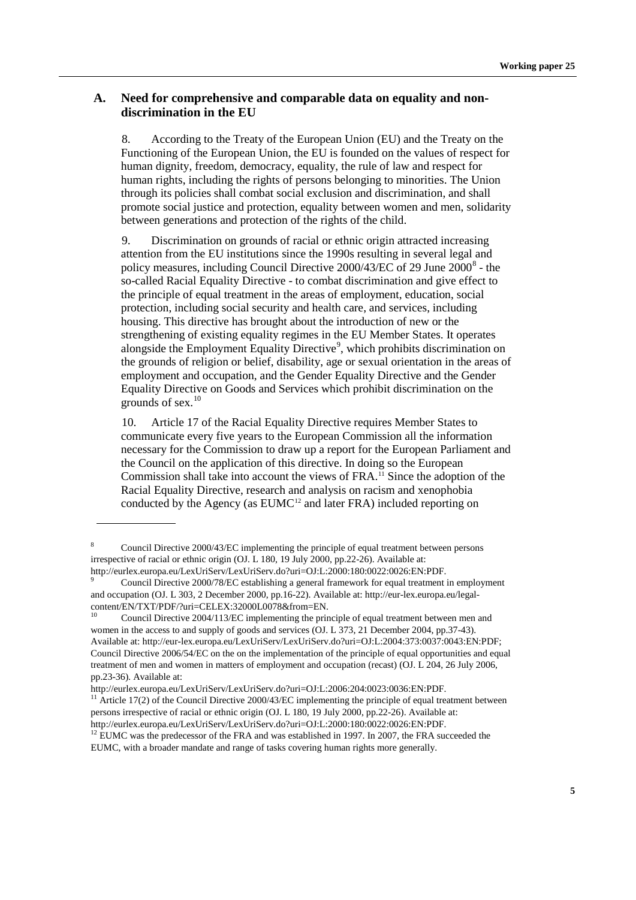### **A. Need for comprehensive and comparable data on equality and nondiscrimination in the EU**

8. According to the Treaty of the European Union (EU) and the Treaty on the Functioning of the European Union, the EU is founded on the values of respect for human dignity, freedom, democracy, equality, the rule of law and respect for human rights, including the rights of persons belonging to minorities. The Union through its policies shall combat social exclusion and discrimination, and shall promote social justice and protection, equality between women and men, solidarity between generations and protection of the rights of the child.

9. Discrimination on grounds of racial or ethnic origin attracted increasing attention from the EU institutions since the 1990s resulting in several legal and policy measures, including Council Directive  $2000/43$ /EC of 29 June  $2000^8$  $2000^8$  - the so-called Racial Equality Directive - to combat discrimination and give effect to the principle of equal treatment in the areas of employment, education, social protection, including social security and health care, and services, including housing. This directive has brought about the introduction of new or the strengthening of existing equality regimes in the EU Member States. It operates alongside the Employment Equality Directive<sup>[9](#page-4-1)</sup>, which prohibits discrimination on the grounds of religion or belief, disability, age or sexual orientation in the areas of employment and occupation, and the Gender Equality Directive and the Gender Equality Directive on Goods and Services which prohibit discrimination on the grounds of sex.[10](#page-4-2)

10. Article 17 of the Racial Equality Directive requires Member States to communicate every five years to the European Commission all the information necessary for the Commission to draw up a report for the European Parliament and the Council on the application of this directive. In doing so the European Commission shall take into account the views of FRA.<sup>[11](#page-4-3)</sup> Since the adoption of the Racial Equality Directive, research and analysis on racism and xenophobia conducted by the Agency (as  $EUMC<sup>12</sup>$  $EUMC<sup>12</sup>$  $EUMC<sup>12</sup>$  and later FRA) included reporting on

<span id="page-4-0"></span><sup>8</sup> Council Directive 2000/43/EC implementing the principle of equal treatment between persons irrespective of racial or ethnic origin (OJ. L 180, 19 July 2000, pp.22-26). Available at: [http://eurlex.europa.eu/LexUriServ/LexUriServ.do?uri=OJ:L:2000:180:0022:0026:EN:PDF.](http://eurlex.europa.eu/LexUriServ/LexUriServ.do?uri=OJ:L:2000:180:0022:0026:EN:PDF)

<span id="page-4-1"></span><sup>9</sup> Council Directive 2000/78/EC establishing a general framework for equal treatment in employment and occupation (OJ. L 303, 2 December 2000, pp.16-22). Available at: [http://eur-lex.europa.eu/legal-](http://eur-lex.europa.eu/legal-content/EN/TXT/PDF/?uri=CELEX:32000L0078&from=EN)

<span id="page-4-2"></span>Council Directive 2004/113/EC implementing the principle of equal treatment between men and women in the access to and supply of goods and services (OJ. L 373, 21 December 2004, pp.37-43). Available at[: http://eur-lex.europa.eu/LexUriServ/LexUriServ.do?uri=OJ:L:2004:373:0037:0043:EN:PDF;](http://eur-lex.europa.eu/LexUriServ/LexUriServ.do?uri=OJ:L:2004:373:0037:0043:EN:PDF)  Council Directive 2006/54/EC on the on the implementation of the principle of equal opportunities and equal treatment of men and women in matters of employment and occupation (recast) (OJ. L 204, 26 July 2006, pp.23-36). Available at:

[http://eurlex.europa.eu/LexUriServ/LexUriServ.do?uri=OJ:L:2006:204:0023:0036:EN:PDF.](http://eurlex.europa.eu/LexUriServ/LexUriServ.do?uri=OJ:L:2006:204:0023:0036:EN:PDF)

<span id="page-4-3"></span><sup>&</sup>lt;sup>11</sup> Article 17(2) of the Council Directive 2000/43/EC implementing the principle of equal treatment between persons irrespective of racial or ethnic origin (OJ. L 180, 19 July 2000, pp.22-26). Available at: [http://eurlex.europa.eu/LexUriServ/LexUriServ.do?uri=OJ:L:2000:180:0022:0026:EN:PDF.](http://eurlex.europa.eu/LexUriServ/LexUriServ.do?uri=OJ:L:2000:180:0022:0026:EN:PDF)

<span id="page-4-4"></span> $12$  EUMC was the predecessor of the FRA and was established in 1997. In 2007, the FRA succeeded the EUMC, with a broader mandate and range of tasks covering human rights more generally.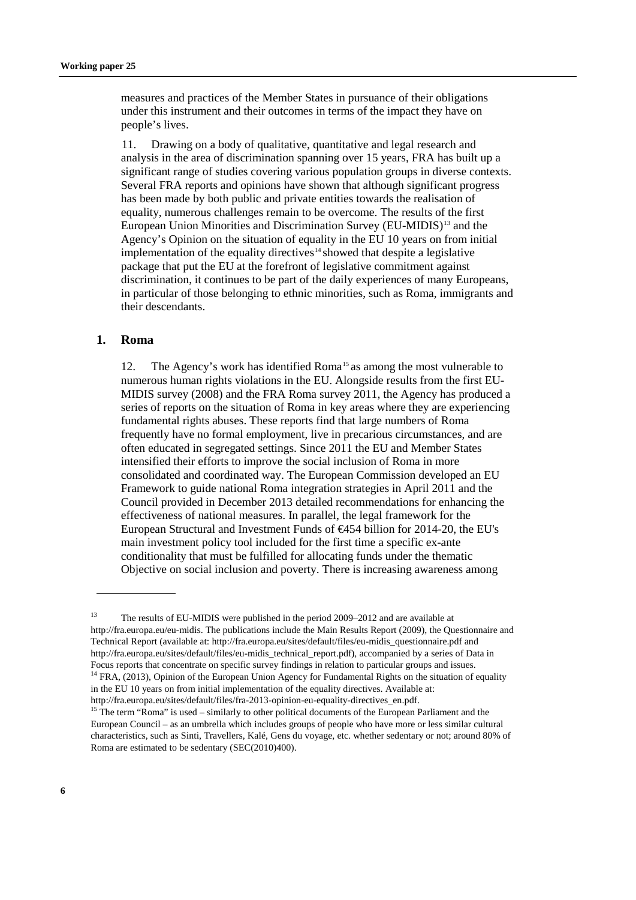measures and practices of the Member States in pursuance of their obligations under this instrument and their outcomes in terms of the impact they have on people's lives.

11. Drawing on a body of qualitative, quantitative and legal research and analysis in the area of discrimination spanning over 15 years, FRA has built up a significant range of studies covering various population groups in diverse contexts. Several FRA reports and opinions have shown that although significant progress has been made by both public and private entities towards the realisation of equality, numerous challenges remain to be overcome. The results of the first European Union Minorities and Discrimination Survey (EU-MIDIS)<sup>[13](#page-5-0)</sup> and the Agency's Opinion on the situation of equality in the EU 10 years on from initial implementation of the equality directives $14$  showed that despite a legislative package that put the EU at the forefront of legislative commitment against discrimination, it continues to be part of the daily experiences of many Europeans, in particular of those belonging to ethnic minorities, such as Roma, immigrants and their descendants.

#### **1. Roma**

12. The Agency's work has identified Roma<sup>[15](#page-5-2)</sup> as among the most vulnerable to numerous human rights violations in the EU. Alongside results from the first EU-MIDIS survey (2008) and the FRA Roma survey 2011, the Agency has produced a series of reports on the situation of Roma in key areas where they are experiencing fundamental rights abuses. These reports find that large numbers of Roma frequently have no formal employment, live in precarious circumstances, and are often educated in segregated settings. Since 2011 the EU and Member States intensified their efforts to improve the social inclusion of Roma in more consolidated and coordinated way. The European Commission developed an EU Framework to guide national Roma integration strategies in April 2011 and the Council provided in December 2013 detailed recommendations for enhancing the effectiveness of national measures. In parallel, the legal framework for the European Structural and Investment Funds of €454 billion for 2014-20, the EU's main investment policy tool included for the first time a specific ex-ante conditionality that must be fulfilled for allocating funds under the thematic Objective on social inclusion and poverty. There is increasing awareness among

<span id="page-5-0"></span><sup>&</sup>lt;sup>13</sup> The results of EU-MIDIS were published in the period 2009–2012 and are available at [http://fra.europa.eu/eu-midis.](http://fra.europa.eu/eu-midis) The publications include the Main Results Report (2009), the Questionnaire and Technical Report (available at[: http://fra.europa.eu/sites/default/files/eu-midis\\_questionnaire.pdf](http://fra.europa.eu/sites/default/files/eu-midis_questionnaire.pdf) and [http://fra.europa.eu/sites/default/files/eu-midis\\_technical\\_report.pdf\)](http://fra.europa.eu/sites/default/files/eu-midis_technical_report.pdf), accompanied by a series of Data in Focus reports that concentrate on specific survey findings in relation to particular groups and issues. <sup>14</sup> FRA, (2013), Opinion of the European Union Agency for Fundamental Rights on the situation of equality in the EU 10 years on from initial implementation of the equality directives. Available at:

<span id="page-5-1"></span>[http://fra.europa.eu/sites/default/files/fra-2013-opinion-eu-equality-directives\\_en.pdf.](http://fra.europa.eu/sites/default/files/fra-2013-opinion-eu-equality-directives_en.pdf)

<span id="page-5-2"></span><sup>&</sup>lt;sup>15</sup> The term "Roma" is used – similarly to other political documents of the European Parliament and the European Council – as an umbrella which includes groups of people who have more or less similar cultural characteristics, such as Sinti, Travellers, Kalé, Gens du voyage, etc. whether sedentary or not; around 80% of Roma are estimated to be sedentary (SEC(2010)400).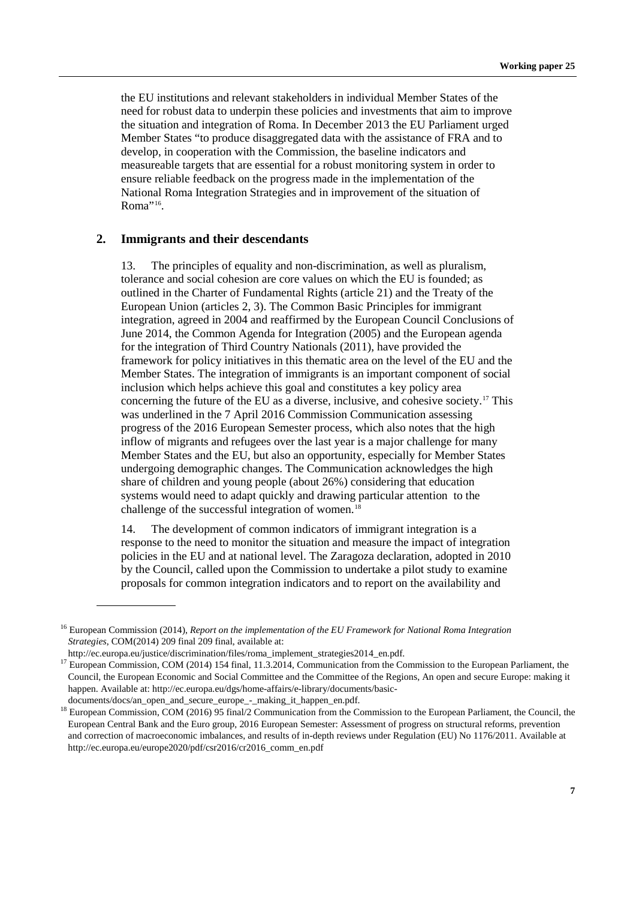the EU institutions and relevant stakeholders in individual Member States of the need for robust data to underpin these policies and investments that aim to improve the situation and integration of Roma. In December 2013 the EU Parliament urged Member States "to produce disaggregated data with the assistance of FRA and to develop, in cooperation with the Commission, the baseline indicators and measureable targets that are essential for a robust monitoring system in order to ensure reliable feedback on the progress made in the implementation of the National Roma Integration Strategies and in improvement of the situation of Roma"<sup>16</sup>.

### **2. Immigrants and their descendants**

13. The principles of equality and non-discrimination, as well as pluralism, tolerance and social cohesion are core values on which the EU is founded; as outlined in the Charter of Fundamental Rights (article 21) and the Treaty of the European Union (articles 2, 3). The Common Basic Principles for immigrant integration, agreed in 2004 and reaffirmed by the [European Council Conclusions of](http://www.consilium.europa.eu/en/workarea/downloadAsset.aspx?id=15904)  June [2014,](http://www.consilium.europa.eu/en/workarea/downloadAsset.aspx?id=15904) the Common Agenda for Integration (2005) and the European agenda for the integration of Third Country Nationals (2011), have provided the framework for policy initiatives in this thematic area on the level of the EU and the Member States. The integration of immigrants is an important component of social inclusion which helps achieve this goal and constitutes a key policy area concerning the future of the EU as a diverse, inclusive, and cohesive society.[17](#page-6-1) This was underlined in the 7 April 2016 Commission Communication assessing progress of the 2016 European Semester process, which also notes that the high inflow of migrants and refugees over the last year is a major challenge for many Member States and the EU, but also an opportunity, especially for Member States undergoing demographic changes. The Communication acknowledges the high share of children and young people (about 26%) considering that education systems would need to adapt quickly and drawing particular attention to the challenge of the successful integration of women. $18$ 

14. The development of common indicators of immigrant integration is a response to the need to monitor the situation and measure the impact of integration policies in the EU and at national level. The Zaragoza declaration, adopted in 2010 by the Council, called upon the Commission to undertake a pilot study to examine proposals for common integration indicators and to report on the availability and

<span id="page-6-0"></span><sup>16</sup> European Commission (2014), *Report on the implementation of the EU Framework for National Roma Integration Strategies*, COM(2014) 209 final 209 final, available at:

<span id="page-6-1"></span>http://ec.europa.eu/justice/discrimination/files/roma\_implement\_strategies2014\_en.pdf.<br><sup>1[7](http://ec.europa.eu/justice/discrimination/files/roma_implement_strategies2014_en.pdf.)</sup> European Commission, COM (2014) 154 final, 11.3.2014, Communication from the Commission to the European Parliament, the Council, the European Economic and Social Committee and the Committee of the Regions, An open and secure Europe: making it happen. Available at: [http://ec.europa.eu/dgs/home-affairs/e-library/documents/basic-](http://ec.europa.eu/dgs/home-affairs/e-library/documents/basic-documents/docs/an_open_and_secure_europe_-_making_it_happen_en.pdf)

[documents/docs/an\\_open\\_and\\_secure\\_europe\\_-\\_making\\_it\\_happen\\_en.pdf.](http://ec.europa.eu/dgs/home-affairs/e-library/documents/basic-documents/docs/an_open_and_secure_europe_-_making_it_happen_en.pdf)

<span id="page-6-2"></span><sup>&</sup>lt;sup>18</sup> European Commission, COM (2016) 95 final/2 Communication from the Commission to the European Parliament, the Council, the European Central Bank and the Euro group, 2016 European Semester: Assessment of progress on structural reforms, prevention and correction of macroeconomic imbalances, and results of in-depth reviews under Regulation (EU) No 1176/2011. Available at [http://ec.europa.eu/europe2020/pdf/csr2016/cr2016\\_comm\\_en.pdf](http://ec.europa.eu/europe2020/pdf/csr2016/cr2016_comm_en.pdf)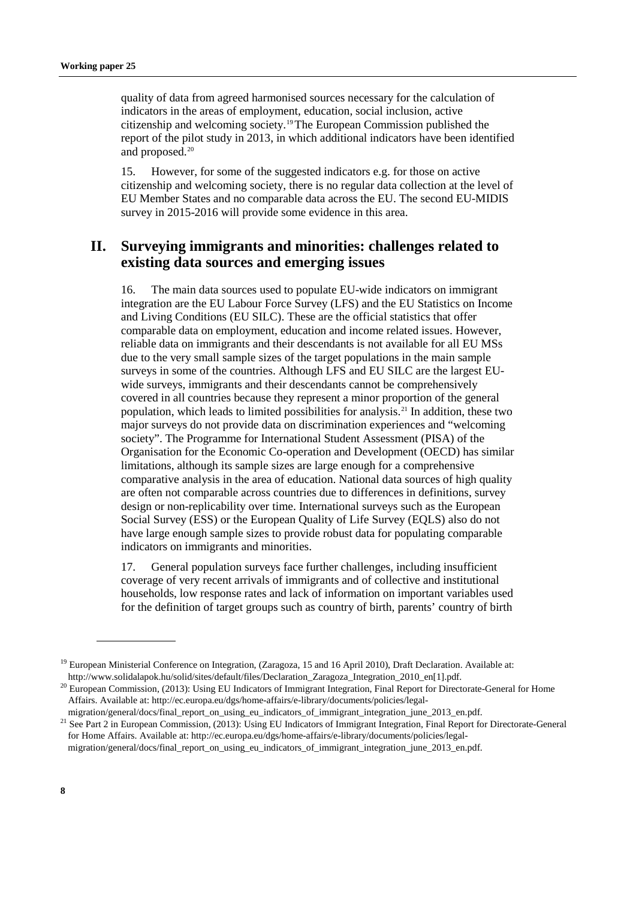quality of data from agreed harmonised sources necessary for the calculation of indicators in the areas of employment, education, social inclusion, active citizenship and welcoming society. [19](#page-7-0)The European Commission published the report of the pilot study in 2013, in which additional indicators have been identified and proposed.<sup>[20](#page-7-1)</sup>

15. However, for some of the suggested indicators e.g. for those on active citizenship and welcoming society, there is no regular data collection at the level of EU Member States and no comparable data across the EU. The second EU-MIDIS survey in 2015-2016 will provide some evidence in this area.

# **II. Surveying immigrants and minorities: challenges related to existing data sources and emerging issues**

16. The main data sources used to populate EU-wide indicators on immigrant integration are the EU Labour Force Survey (LFS) and the EU Statistics on Income and Living Conditions (EU SILC). These are the official statistics that offer comparable data on employment, education and income related issues. However, reliable data on immigrants and their descendants is not available for all EU MSs due to the very small sample sizes of the target populations in the main sample surveys in some of the countries. Although LFS and EU SILC are the largest EUwide surveys, immigrants and their descendants cannot be comprehensively covered in all countries because they represent a minor proportion of the general population, which leads to limited possibilities for analysis. [21](#page-7-2) In addition, these two major surveys do not provide data on discrimination experiences and "welcoming society". The Programme for International Student Assessment (PISA) of the Organisation for the Economic Co-operation and Development (OECD) has similar limitations, although its sample sizes are large enough for a comprehensive comparative analysis in the area of education. National data sources of high quality are often not comparable across countries due to differences in definitions, survey design or non-replicability over time. International surveys such as the European Social Survey (ESS) or the European Quality of Life Survey (EQLS) also do not have large enough sample sizes to provide robust data for populating comparable indicators on immigrants and minorities.

17. General population surveys face further challenges, including insufficient coverage of very recent arrivals of immigrants and of collective and institutional households, low response rates and lack of information on important variables used for the definition of target groups such as country of birth, parents' country of birth

<span id="page-7-0"></span><sup>&</sup>lt;sup>19</sup> European Ministerial Conference on Integration, (Zaragoza, 15 and 16 April 2010), Draft Declaration. Available at: [http://www.solidalapok.hu/solid/sites/default/files/Declaration\\_Zaragoza\\_Integration\\_2010\\_en\[1\].pdf.](http://www.solidalapok.hu/solid/sites/default/files/Declaration_Zaragoza_Integration_2010_en%5b1%5d.pdf)

<span id="page-7-1"></span><sup>&</sup>lt;sup>20</sup> European Commission, (2013): Using EU Indicators of Immigrant Integration, Final Report for Directorate-General for Home Affairs. Available at: [http://ec.europa.eu/dgs/home-affairs/e-library/documents/policies/legal-](http://ec.europa.eu/dgs/home-affairs/e-library/documents/policies/legal-migration/general/docs/final_report_on_using_eu_indicators_of_immigrant_integration_june_2013_en.pdf)

<span id="page-7-2"></span>[migration/general/docs/final\\_report\\_on\\_using\\_eu\\_indicators\\_of\\_immigrant\\_integration\\_june\\_2013\\_en.pdf.](http://ec.europa.eu/dgs/home-affairs/e-library/documents/policies/legal-migration/general/docs/final_report_on_using_eu_indicators_of_immigrant_integration_june_2013_en.pdf) <sup>21</sup> See Part 2 in European Commission, (2013): Using EU Indicators of Immigrant Integration, Final Report for Directorate-General for Home Affairs. Available at: [http://ec.europa.eu/dgs/home-affairs/e-library/documents/policies/legal](http://ec.europa.eu/dgs/home-affairs/e-library/documents/policies/legal-migration/general/docs/final_report_on_using_eu_indicators_of_immigrant_integration_june_2013_en.pdf)[migration/general/docs/final\\_report\\_on\\_using\\_eu\\_indicators\\_of\\_immigrant\\_integration\\_june\\_2013\\_en.pdf.](http://ec.europa.eu/dgs/home-affairs/e-library/documents/policies/legal-migration/general/docs/final_report_on_using_eu_indicators_of_immigrant_integration_june_2013_en.pdf)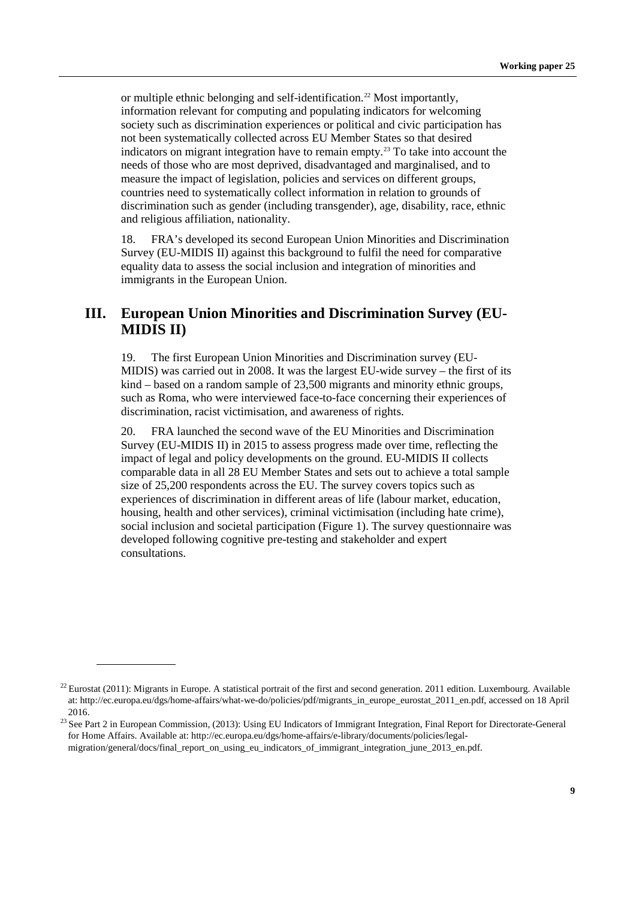or multiple ethnic belonging and self-identification.<sup>[22](#page-8-0)</sup> Most importantly, information relevant for computing and populating indicators for welcoming society such as discrimination experiences or political and civic participation has not been systematically collected across EU Member States so that desired indicators on migrant integration have to remain empty.<sup>[23](#page-8-1)</sup> To take into account the needs of those who are most deprived, disadvantaged and marginalised, and to measure the impact of legislation, policies and services on different groups, countries need to systematically collect information in relation to grounds of discrimination such as gender (including transgender), age, disability, race, ethnic and religious affiliation, nationality.

18. FRA's developed its second European Union Minorities and Discrimination Survey (EU-MIDIS II) against this background to fulfil the need for comparative equality data to assess the social inclusion and integration of minorities and immigrants in the European Union.

# **III. European Union Minorities and Discrimination Survey (EU-MIDIS II)**

19. The first European Union Minorities and Discrimination survey (EU-MIDIS) was carried out in 2008. It was the largest EU-wide survey – the first of its kind – based on a random sample of 23,500 migrants and minority ethnic groups, such as Roma, who were interviewed face-to-face concerning their experiences of discrimination, racist victimisation, and awareness of rights.

20. FRA launched the second wave of the EU Minorities and Discrimination Survey (EU-MIDIS II) in 2015 to assess progress made over time, reflecting the impact of legal and policy developments on the ground. EU-MIDIS II collects comparable data in all 28 EU Member States and sets out to achieve a total sample size of 25,200 respondents across the EU. The survey covers topics such as experiences of discrimination in different areas of life (labour market, education, housing, health and other services), criminal victimisation (including hate crime), social inclusion and societal participation (Figure 1). The survey questionnaire was developed following cognitive pre-testing and stakeholder and expert consultations.

<span id="page-8-0"></span> $^{22}$  Eurostat (2011): Migrants in Europe. A statistical portrait of the first and second generation. 2011 edition. Luxembourg. Available at: [http://ec.europa.eu/dgs/home-affairs/what-we-do/policies/pdf/migrants\\_in\\_europe\\_eurostat\\_2011\\_en.pdf,](http://ec.europa.eu/dgs/home-affairs/what-we-do/policies/pdf/migrants_in_europe_eurostat_2011_en.pdf) accessed on 18 April 2016.<br><sup>23</sup> See Part 2 in European Commission, (2013): Using EU Indicators of Immigrant Integration, Final Report for Directorate-General

<span id="page-8-1"></span>for Home Affairs. Available at: [http://ec.europa.eu/dgs/home-affairs/e-library/documents/policies/legal](http://ec.europa.eu/dgs/home-affairs/e-library/documents/policies/legal-migration/general/docs/final_report_on_using_eu_indicators_of_immigrant_integration_june_2013_en.pdf)[migration/general/docs/final\\_report\\_on\\_using\\_eu\\_indicators\\_of\\_immigrant\\_integration\\_june\\_2013\\_en.pdf.](http://ec.europa.eu/dgs/home-affairs/e-library/documents/policies/legal-migration/general/docs/final_report_on_using_eu_indicators_of_immigrant_integration_june_2013_en.pdf)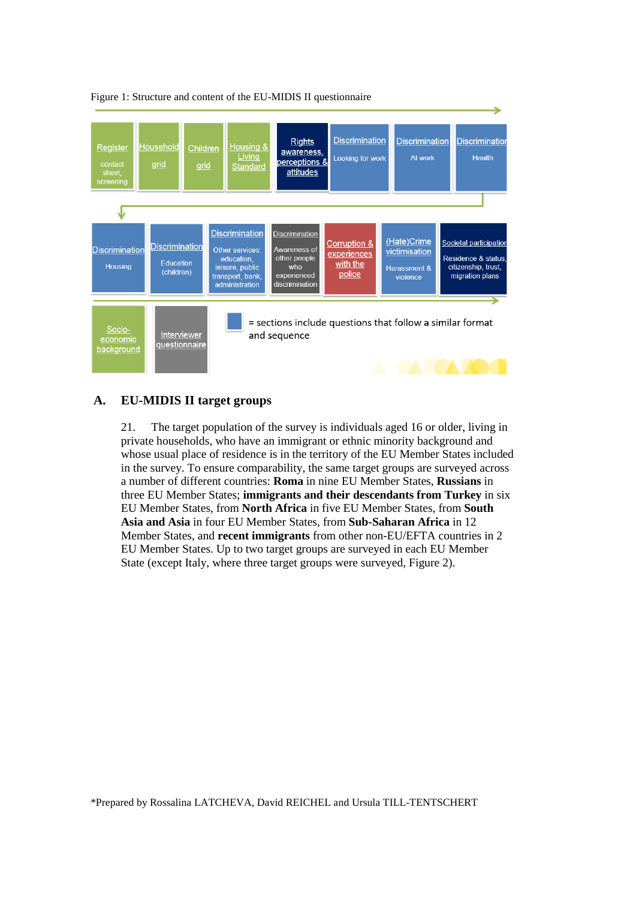

### Figure 1: Structure and content of the EU-MIDIS II questionnaire

### **A. EU-MIDIS II target groups**

21. The target population of the survey is individuals aged 16 or older, living in private households, who have an immigrant or ethnic minority background and whose usual place of residence is in the territory of the EU Member States included in the survey. To ensure comparability, the same target groups are surveyed across a number of different countries: **Roma** in nine EU Member States, **Russians** in three EU Member States; **immigrants and their descendants from Turkey** in six EU Member States, from **North Africa** in five EU Member States, from **South Asia and Asia** in four EU Member States, from **Sub-Saharan Africa** in 12 Member States, and **recent immigrants** from other non-EU/EFTA countries in 2 EU Member States. Up to two target groups are surveyed in each EU Member State (except Italy, where three target groups were surveyed, Figure 2).

\*Prepared by Rossalina LATCHEVA, David REICHEL and Ursula TILL-TENTSCHERT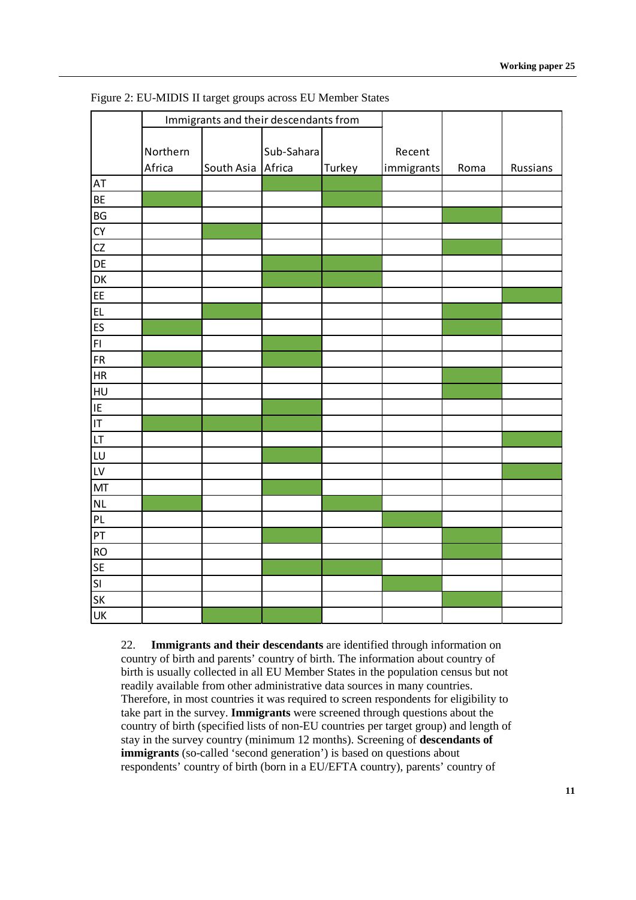|                                   | Immigrants and their descendants from |                   |            |        |                      |      |          |
|-----------------------------------|---------------------------------------|-------------------|------------|--------|----------------------|------|----------|
|                                   | Northern<br>Africa                    | South Asia Africa | Sub-Sahara | Turkey | Recent<br>immigrants | Roma | Russians |
| AT                                |                                       |                   |            |        |                      |      |          |
| BE                                |                                       |                   |            |        |                      |      |          |
| BG                                |                                       |                   |            |        |                      |      |          |
| CY                                |                                       |                   |            |        |                      |      |          |
| CZ                                |                                       |                   |            |        |                      |      |          |
| DE                                |                                       |                   |            |        |                      |      |          |
| DK                                |                                       |                   |            |        |                      |      |          |
| EE                                |                                       |                   |            |        |                      |      |          |
| <b>EL</b>                         |                                       |                   |            |        |                      |      |          |
| ES                                |                                       |                   |            |        |                      |      |          |
| FI.                               |                                       |                   |            |        |                      |      |          |
| <b>FR</b>                         |                                       |                   |            |        |                      |      |          |
| HR                                |                                       |                   |            |        |                      |      |          |
| HU                                |                                       |                   |            |        |                      |      |          |
| E                                 |                                       |                   |            |        |                      |      |          |
| $\overline{\mathsf{I}\mathsf{T}}$ |                                       |                   |            |        |                      |      |          |
| LT                                |                                       |                   |            |        |                      |      |          |
| LU                                |                                       |                   |            |        |                      |      |          |
| LV                                |                                       |                   |            |        |                      |      |          |
| MT                                |                                       |                   |            |        |                      |      |          |
| NL                                |                                       |                   |            |        |                      |      |          |
| PL                                |                                       |                   |            |        |                      |      |          |
| PT                                |                                       |                   |            |        |                      |      |          |
| <b>RO</b>                         |                                       |                   |            |        |                      |      |          |
| <b>SE</b>                         |                                       |                   |            |        |                      |      |          |
| SI                                |                                       |                   |            |        |                      |      |          |
| SK                                |                                       |                   |            |        |                      |      |          |
| UK                                |                                       |                   |            |        |                      |      |          |

Figure 2: EU-MIDIS II target groups across EU Member States

22. **Immigrants and their descendants** are identified through information on country of birth and parents' country of birth. The information about country of birth is usually collected in all EU Member States in the population census but not readily available from other administrative data sources in many countries. Therefore, in most countries it was required to screen respondents for eligibility to take part in the survey. **Immigrants** were screened through questions about the country of birth (specified lists of non-EU countries per target group) and length of stay in the survey country (minimum 12 months). Screening of **descendants of immigrants** (so-called 'second generation') is based on questions about respondents' country of birth (born in a EU/EFTA country), parents' country of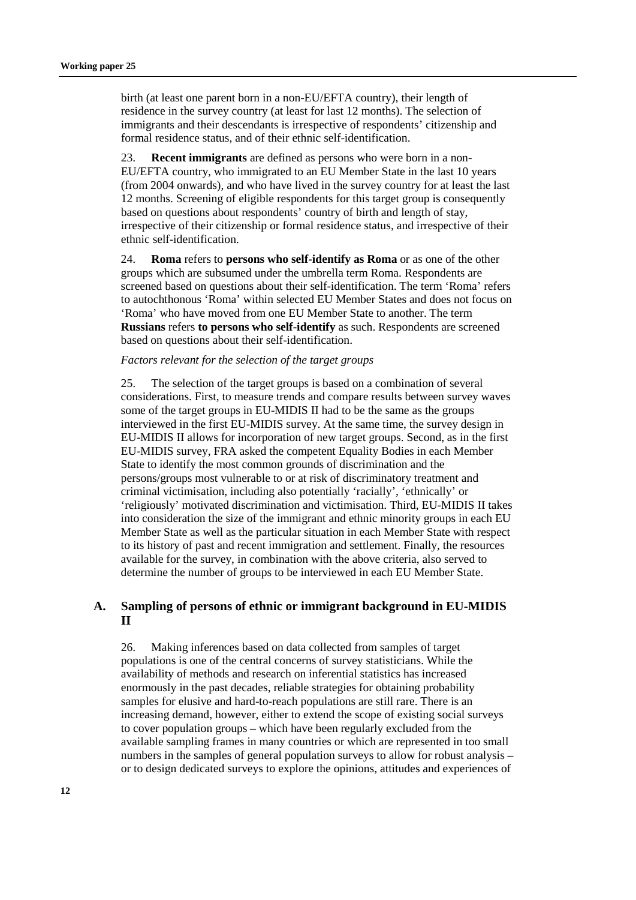birth (at least one parent born in a non-EU/EFTA country), their length of residence in the survey country (at least for last 12 months). The selection of immigrants and their descendants is irrespective of respondents' citizenship and formal residence status, and of their ethnic self-identification.

23. **Recent immigrants** are defined as persons who were born in a non-EU/EFTA country, who immigrated to an EU Member State in the last 10 years (from 2004 onwards), and who have lived in the survey country for at least the last 12 months. Screening of eligible respondents for this target group is consequently based on questions about respondents' country of birth and length of stay, irrespective of their citizenship or formal residence status, and irrespective of their ethnic self-identification.

24. **Roma** refers to **persons who self-identify as Roma** or as one of the other groups which are subsumed under the umbrella term Roma. Respondents are screened based on questions about their self-identification. The term 'Roma' refers to autochthonous 'Roma' within selected EU Member States and does not focus on 'Roma' who have moved from one EU Member State to another. The term **Russians** refers **to persons who self-identify** as such. Respondents are screened based on questions about their self-identification.

#### *Factors relevant for the selection of the target groups*

25. The selection of the target groups is based on a combination of several considerations. First, to measure trends and compare results between survey waves some of the target groups in EU-MIDIS II had to be the same as the groups interviewed in the first EU-MIDIS survey. At the same time, the survey design in EU-MIDIS II allows for incorporation of new target groups. Second, as in the first EU-MIDIS survey, FRA asked the competent Equality Bodies in each Member State to identify the most common grounds of discrimination and the persons/groups most vulnerable to or at risk of discriminatory treatment and criminal victimisation, including also potentially 'racially', 'ethnically' or 'religiously' motivated discrimination and victimisation. Third, EU-MIDIS II takes into consideration the size of the immigrant and ethnic minority groups in each EU Member State as well as the particular situation in each Member State with respect to its history of past and recent immigration and settlement. Finally, the resources available for the survey, in combination with the above criteria, also served to determine the number of groups to be interviewed in each EU Member State.

### **A. Sampling of persons of ethnic or immigrant background in EU-MIDIS II**

26. Making inferences based on data collected from samples of target populations is one of the central concerns of survey statisticians. While the availability of methods and research on inferential statistics has increased enormously in the past decades, reliable strategies for obtaining probability samples for elusive and hard-to-reach populations are still rare. There is an increasing demand, however, either to extend the scope of existing social surveys to cover population groups – which have been regularly excluded from the available sampling frames in many countries or which are represented in too small numbers in the samples of general population surveys to allow for robust analysis – or to design dedicated surveys to explore the opinions, attitudes and experiences of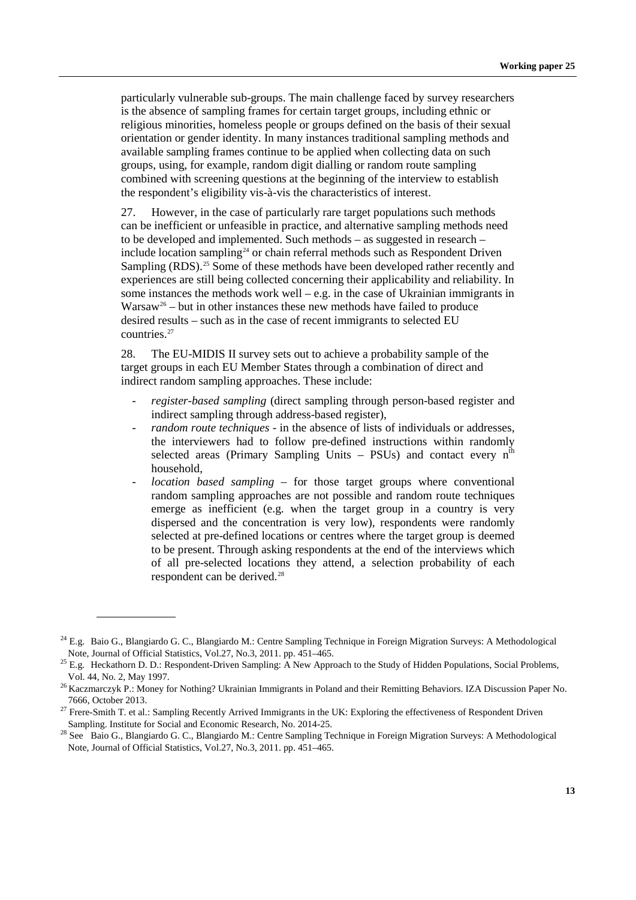particularly vulnerable sub-groups. The main challenge faced by survey researchers is the absence of sampling frames for certain target groups, including ethnic or religious minorities, homeless people or groups defined on the basis of their sexual orientation or gender identity. In many instances traditional sampling methods and available sampling frames continue to be applied when collecting data on such groups, using, for example, random digit dialling or random route sampling combined with screening questions at the beginning of the interview to establish the respondent's eligibility vis-à-vis the characteristics of interest.

27. However, in the case of particularly rare target populations such methods can be inefficient or unfeasible in practice, and alternative sampling methods need to be developed and implemented. Such methods – as suggested in research – include location sampling<sup>24</sup> or chain referral methods such as Respondent Driven Sampling (RDS).<sup>[25](#page-12-1)</sup> Some of these methods have been developed rather recently and experiences are still being collected concerning their applicability and reliability. In some instances the methods work well – e.g. in the case of Ukrainian immigrants in  $Warsaw<sup>26</sup> - but in other instances these new methods have failed to produce$  $Warsaw<sup>26</sup> - but in other instances these new methods have failed to produce$  $Warsaw<sup>26</sup> - but in other instances these new methods have failed to produce$ desired results – such as in the case of recent immigrants to selected EU countries.[27](#page-12-3)

28. The EU-MIDIS II survey sets out to achieve a probability sample of the target groups in each EU Member States through a combination of direct and indirect random sampling approaches. These include:

- *register-based sampling* (direct sampling through person-based register and indirect sampling through address-based register),
- *random route techniques* in the absence of lists of individuals or addresses, the interviewers had to follow pre-defined instructions within randomly selected areas (Primary Sampling Units – PSUs) and contact every  $n<sup>th</sup>$ household,
- *location based sampling*  for those target groups where conventional random sampling approaches are not possible and random route techniques emerge as inefficient (e.g. when the target group in a country is very dispersed and the concentration is very low), respondents were randomly selected at pre-defined locations or centres where the target group is deemed to be present. Through asking respondents at the end of the interviews which of all pre-selected locations they attend, a selection probability of each respondent can be derived. [28](#page-12-4)

<span id="page-12-0"></span> $24$  E.g. Baio G., Blangiardo G. C., Blangiardo M.: Centre Sampling Technique in Foreign Migration Surveys: A Methodological Note, Journal of Official Statistics, Vol.27, No.3, 2011. pp. 451–465.

<span id="page-12-1"></span><sup>&</sup>lt;sup>25</sup> E.g. Heckathorn D. D.: Respondent-Driven Sampling: A New Approach to the Study of Hidden Populations, Social Problems, Vol. 44, No. 2, May 1997.

<span id="page-12-2"></span><sup>&</sup>lt;sup>26</sup> Kaczmarczyk P.: Money for Nothing? Ukrainian Immigrants in Poland and their Remitting Behaviors. IZA Discussion Paper No. 7666, October 2013.

<span id="page-12-3"></span><sup>&</sup>lt;sup>27</sup> Frere-Smith T. et al.: Sampling Recently Arrived Immigrants in the UK: Exploring the effectiveness of Respondent Driven Sampling. Institute for Social and Economic Research, No. 2014-25.

<span id="page-12-4"></span><sup>&</sup>lt;sup>28</sup> See Baio G., Blangiardo G. C., Blangiardo M.: Centre Sampling Technique in Foreign Migration Surveys: A Methodological Note, Journal of Official Statistics, Vol.27, No.3, 2011. pp. 451–465.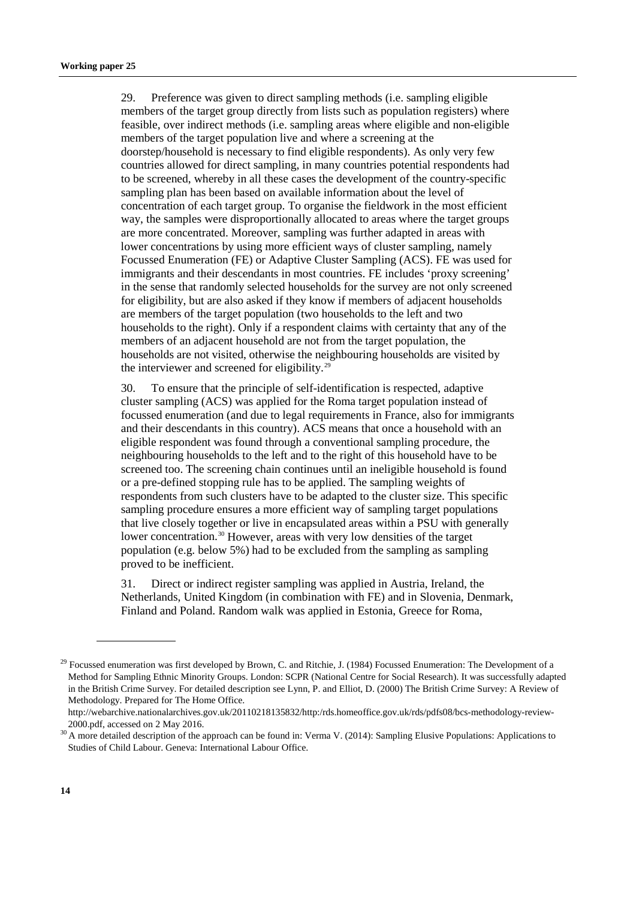29. Preference was given to direct sampling methods (i.e. sampling eligible members of the target group directly from lists such as population registers) where feasible, over indirect methods (i.e. sampling areas where eligible and non-eligible members of the target population live and where a screening at the doorstep/household is necessary to find eligible respondents). As only very few countries allowed for direct sampling, in many countries potential respondents had to be screened, whereby in all these cases the development of the country-specific sampling plan has been based on available information about the level of concentration of each target group. To organise the fieldwork in the most efficient way, the samples were disproportionally allocated to areas where the target groups are more concentrated. Moreover, sampling was further adapted in areas with lower concentrations by using more efficient ways of cluster sampling, namely Focussed Enumeration (FE) or Adaptive Cluster Sampling (ACS). FE was used for immigrants and their descendants in most countries. FE includes 'proxy screening' in the sense that randomly selected households for the survey are not only screened for eligibility, but are also asked if they know if members of adjacent households are members of the target population (two households to the left and two households to the right). Only if a respondent claims with certainty that any of the members of an adjacent household are not from the target population, the households are not visited, otherwise the neighbouring households are visited by the interviewer and screened for eligibility.<sup>[29](#page-13-0)</sup>

30. To ensure that the principle of self-identification is respected, adaptive cluster sampling (ACS) was applied for the Roma target population instead of focussed enumeration (and due to legal requirements in France, also for immigrants and their descendants in this country). ACS means that once a household with an eligible respondent was found through a conventional sampling procedure, the neighbouring households to the left and to the right of this household have to be screened too. The screening chain continues until an ineligible household is found or a pre-defined stopping rule has to be applied. The sampling weights of respondents from such clusters have to be adapted to the cluster size. This specific sampling procedure ensures a more efficient way of sampling target populations that live closely together or live in encapsulated areas within a PSU with generally lower concentration.<sup>[30](#page-13-1)</sup> However, areas with very low densities of the target population (e.g. below 5%) had to be excluded from the sampling as sampling proved to be inefficient.

31. Direct or indirect register sampling was applied in Austria, Ireland, the Netherlands, United Kingdom (in combination with FE) and in Slovenia, Denmark, Finland and Poland. Random walk was applied in Estonia, Greece for Roma,

<span id="page-13-0"></span><sup>&</sup>lt;sup>29</sup> Focussed enumeration was first developed by Brown, C. and Ritchie, J. (1984) Focussed Enumeration: The Development of a Method for Sampling Ethnic Minority Groups. London: SCPR (National Centre for Social Research). It was successfully adapted in the British Crime Survey. For detailed description see Lynn, P. and Elliot, D. (2000) The British Crime Survey: A Review of Methodology. Prepared for The Home Office.

[http://webarchive.nationalarchives.gov.uk/20110218135832/http:/rds.homeoffice.gov.uk/rds/pdfs08/bcs-methodology-review-](http://webarchive.nationalarchives.gov.uk/20110218135832/http:/rds.homeoffice.gov.uk/rds/pdfs08/bcs-methodology-review-2000.pdf)[2000.pdf,](http://webarchive.nationalarchives.gov.uk/20110218135832/http:/rds.homeoffice.gov.uk/rds/pdfs08/bcs-methodology-review-2000.pdf) accessed on 2 May 2016.

<span id="page-13-1"></span><sup>&</sup>lt;sup>30</sup> A more detailed description of the approach can be found in: Verma V. (2014): Sampling Elusive Populations: Applications to Studies of Child Labour. Geneva: International Labour Office.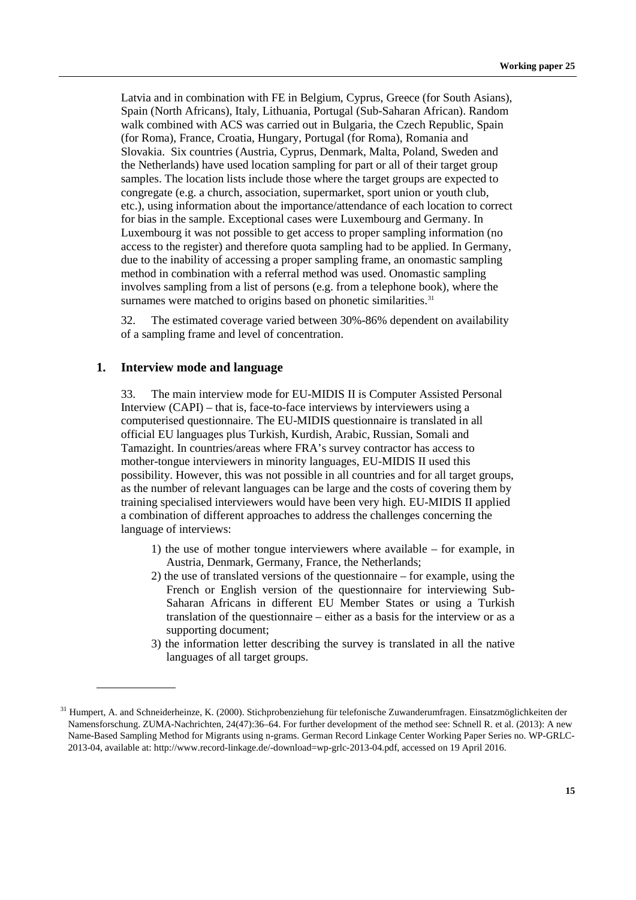Latvia and in combination with FE in Belgium, Cyprus, Greece (for South Asians), Spain (North Africans), Italy, Lithuania, Portugal (Sub-Saharan African). Random walk combined with ACS was carried out in Bulgaria, the Czech Republic, Spain (for Roma), France, Croatia, Hungary, Portugal (for Roma), Romania and Slovakia. Six countries (Austria, Cyprus, Denmark, Malta, Poland, Sweden and the Netherlands) have used location sampling for part or all of their target group samples. The location lists include those where the target groups are expected to congregate (e.g. a church, association, supermarket, sport union or youth club, etc.), using information about the importance/attendance of each location to correct for bias in the sample. Exceptional cases were Luxembourg and Germany. In Luxembourg it was not possible to get access to proper sampling information (no access to the register) and therefore quota sampling had to be applied. In Germany, due to the inability of accessing a proper sampling frame, an onomastic sampling method in combination with a referral method was used. Onomastic sampling involves sampling from a list of persons (e.g. from a telephone book), where the surnames were matched to origins based on phonetic similarities.<sup>[31](#page-14-0)</sup>

32. The estimated coverage varied between 30%-86% dependent on availability of a sampling frame and level of concentration.

#### **1. Interview mode and language**

33. The main interview mode for EU-MIDIS II is Computer Assisted Personal Interview (CAPI) – that is, face-to-face interviews by interviewers using a computerised questionnaire. The EU-MIDIS questionnaire is translated in all official EU languages plus Turkish, Kurdish, Arabic, Russian, Somali and Tamazight. In countries/areas where FRA's survey contractor has access to mother-tongue interviewers in minority languages, EU-MIDIS II used this possibility. However, this was not possible in all countries and for all target groups, as the number of relevant languages can be large and the costs of covering them by training specialised interviewers would have been very high. EU-MIDIS II applied a combination of different approaches to address the challenges concerning the language of interviews:

- 1) the use of mother tongue interviewers where available for example, in Austria, Denmark, Germany, France, the Netherlands;
- 2) the use of translated versions of the questionnaire for example, using the French or English version of the questionnaire for interviewing Sub-Saharan Africans in different EU Member States or using a Turkish translation of the questionnaire – either as a basis for the interview or as a supporting document;
- 3) the information letter describing the survey is translated in all the native languages of all target groups.

<span id="page-14-0"></span><sup>&</sup>lt;sup>31</sup> Humpert, A. and Schneiderheinze, K. (2000). Stichprobenziehung für telefonische Zuwanderumfragen. Einsatzmöglichkeiten der Namensforschung. ZUMA-Nachrichten, 24(47):36–64. For further development of the method see: Schnell R. et al. (2013): A new Name-Based Sampling Method for Migrants using n-grams. German Record Linkage Center Working Paper Series no. WP-GRLC-2013-04, available at: [http://www.record-linkage.de/-download=wp-grlc-2013-04.pdf,](http://www.record-linkage.de/-download=wp-grlc-2013-04.pdf) accessed on 19 April 2016.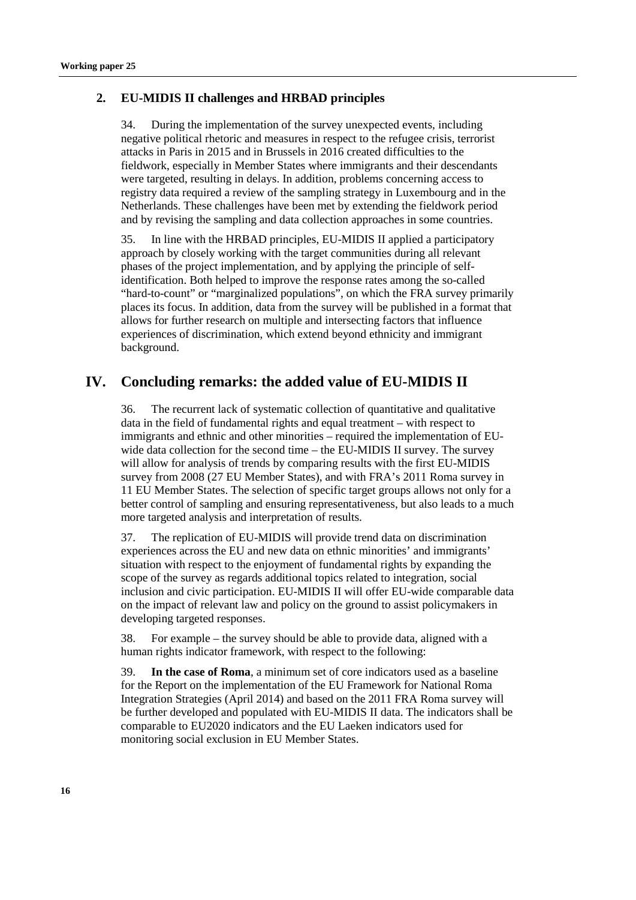# **2. EU-MIDIS II challenges and HRBAD principles**

34. During the implementation of the survey unexpected events, including negative political rhetoric and measures in respect to the refugee crisis, terrorist attacks in Paris in 2015 and in Brussels in 2016 created difficulties to the fieldwork, especially in Member States where immigrants and their descendants were targeted, resulting in delays. In addition, problems concerning access to registry data required a review of the sampling strategy in Luxembourg and in the Netherlands. These challenges have been met by extending the fieldwork period and by revising the sampling and data collection approaches in some countries.

35. In line with the HRBAD principles, EU-MIDIS II applied a participatory approach by closely working with the target communities during all relevant phases of the project implementation, and by applying the principle of selfidentification. Both helped to improve the response rates among the so-called "hard-to-count" or "marginalized populations", on which the FRA survey primarily places its focus. In addition, data from the survey will be published in a format that allows for further research on multiple and intersecting factors that influence experiences of discrimination, which extend beyond ethnicity and immigrant background.

# **IV. Concluding remarks: the added value of EU-MIDIS II**

36. The recurrent lack of systematic collection of quantitative and qualitative data in the field of fundamental rights and equal treatment – with respect to immigrants and ethnic and other minorities – required the implementation of EUwide data collection for the second time – the EU-MIDIS II survey. The survey will allow for analysis of trends by comparing results with the first EU-MIDIS survey from 2008 (27 EU Member States), and with FRA's 2011 Roma survey in 11 EU Member States. The selection of specific target groups allows not only for a better control of sampling and ensuring representativeness, but also leads to a much more targeted analysis and interpretation of results.

37. The replication of EU-MIDIS will provide trend data on discrimination experiences across the EU and new data on ethnic minorities' and immigrants' situation with respect to the enjoyment of fundamental rights by expanding the scope of the survey as regards additional topics related to integration, social inclusion and civic participation. EU-MIDIS II will offer EU-wide comparable data on the impact of relevant law and policy on the ground to assist policymakers in developing targeted responses.

38. For example – the survey should be able to provide data, aligned with a human rights indicator framework, with respect to the following:

39. **In the case of Roma**, a minimum set of core indicators used as a baseline for the Report on the implementation of the EU Framework for National Roma Integration Strategies (April 2014) and based on the 2011 FRA Roma survey will be further developed and populated with EU-MIDIS II data. The indicators shall be comparable to EU2020 indicators and the EU Laeken indicators used for monitoring social exclusion in EU Member States.